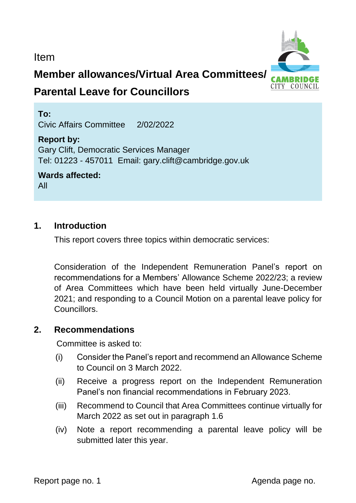Item



# **Member allowances/Virtual Area Committees/**

# **Parental Leave for Councillors**

**To:**  Civic Affairs Committee 2/02/2022

# **Report by:**

Gary Clift, Democratic Services Manager Tel: 01223 - 457011 Email: gary.clift@cambridge.gov.uk

**Wards affected:**  All

## **1. Introduction**

This report covers three topics within democratic services:

Consideration of the Independent Remuneration Panel's report on recommendations for a Members' Allowance Scheme 2022/23; a review of Area Committees which have been held virtually June-December 2021; and responding to a Council Motion on a parental leave policy for Councillors.

# **2. Recommendations**

Committee is asked to:

- (i) Consider the Panel's report and recommend an Allowance Scheme to Council on 3 March 2022.
- (ii) Receive a progress report on the Independent Remuneration Panel's non financial recommendations in February 2023.
- (iii) Recommend to Council that Area Committees continue virtually for March 2022 as set out in paragraph 1.6
- (iv) Note a report recommending a parental leave policy will be submitted later this year.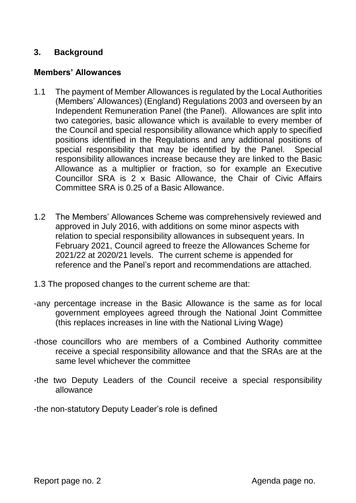### **3. Background**

#### **Members' Allowances**

- 1.1 The payment of Member Allowances is regulated by the Local Authorities (Members' Allowances) (England) Regulations 2003 and overseen by an Independent Remuneration Panel (the Panel). Allowances are split into two categories, basic allowance which is available to every member of the Council and special responsibility allowance which apply to specified positions identified in the Regulations and any additional positions of special responsibility that may be identified by the Panel. Special responsibility allowances increase because they are linked to the Basic Allowance as a multiplier or fraction, so for example an Executive Councillor SRA is 2 x Basic Allowance, the Chair of Civic Affairs Committee SRA is 0.25 of a Basic Allowance.
- 1.2 The Members' Allowances Scheme was comprehensively reviewed and approved in July 2016, with additions on some minor aspects with relation to special responsibility allowances in subsequent years. In February 2021, Council agreed to freeze the Allowances Scheme for 2021/22 at 2020/21 levels. The current scheme is appended for reference and the Panel's report and recommendations are attached.
- 1.3 The proposed changes to the current scheme are that:
- -any percentage increase in the Basic Allowance is the same as for local government employees agreed through the National Joint Committee (this replaces increases in line with the National Living Wage)
- -those councillors who are members of a Combined Authority committee receive a special responsibility allowance and that the SRAs are at the same level whichever the committee
- -the two Deputy Leaders of the Council receive a special responsibility allowance

-the non-statutory Deputy Leader's role is defined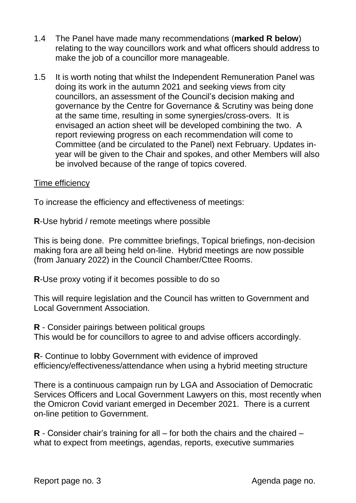- 1.4 The Panel have made many recommendations (**marked R below**) relating to the way councillors work and what officers should address to make the job of a councillor more manageable.
- 1.5 It is worth noting that whilst the Independent Remuneration Panel was doing its work in the autumn 2021 and seeking views from city councillors, an assessment of the Council's decision making and governance by the Centre for Governance & Scrutiny was being done at the same time, resulting in some synergies/cross-overs. It is envisaged an action sheet will be developed combining the two. A report reviewing progress on each recommendation will come to Committee (and be circulated to the Panel) next February. Updates inyear will be given to the Chair and spokes, and other Members will also be involved because of the range of topics covered.

#### Time efficiency

To increase the efficiency and effectiveness of meetings:

**R**-Use hybrid / remote meetings where possible

This is being done. Pre committee briefings, Topical briefings, non-decision making fora are all being held on-line. Hybrid meetings are now possible (from January 2022) in the Council Chamber/Cttee Rooms.

**R**-Use proxy voting if it becomes possible to do so

This will require legislation and the Council has written to Government and Local Government Association.

**R** - Consider pairings between political groups This would be for councillors to agree to and advise officers accordingly.

**R**- Continue to lobby Government with evidence of improved efficiency/effectiveness/attendance when using a hybrid meeting structure

There is a continuous campaign run by LGA and Association of Democratic Services Officers and Local Government Lawyers on this, most recently when the Omicron Covid variant emerged in December 2021. There is a current on-line petition to Government.

**R** - Consider chair's training for all – for both the chairs and the chaired – what to expect from meetings, agendas, reports, executive summaries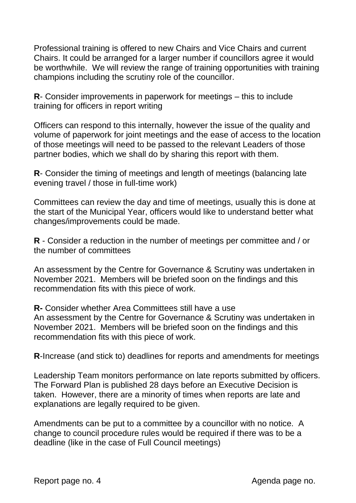Professional training is offered to new Chairs and Vice Chairs and current Chairs. It could be arranged for a larger number if councillors agree it would be worthwhile. We will review the range of training opportunities with training champions including the scrutiny role of the councillor.

**R**- Consider improvements in paperwork for meetings – this to include training for officers in report writing

Officers can respond to this internally, however the issue of the quality and volume of paperwork for joint meetings and the ease of access to the location of those meetings will need to be passed to the relevant Leaders of those partner bodies, which we shall do by sharing this report with them.

**R**- Consider the timing of meetings and length of meetings (balancing late evening travel / those in full-time work)

Committees can review the day and time of meetings, usually this is done at the start of the Municipal Year, officers would like to understand better what changes/improvements could be made.

**R** - Consider a reduction in the number of meetings per committee and / or the number of committees

An assessment by the Centre for Governance & Scrutiny was undertaken in November 2021. Members will be briefed soon on the findings and this recommendation fits with this piece of work.

**R-** Consider whether Area Committees still have a use An assessment by the Centre for Governance & Scrutiny was undertaken in November 2021. Members will be briefed soon on the findings and this recommendation fits with this piece of work.

**R**-Increase (and stick to) deadlines for reports and amendments for meetings

Leadership Team monitors performance on late reports submitted by officers. The Forward Plan is published 28 days before an Executive Decision is taken. However, there are a minority of times when reports are late and explanations are legally required to be given.

Amendments can be put to a committee by a councillor with no notice. A change to council procedure rules would be required if there was to be a deadline (like in the case of Full Council meetings)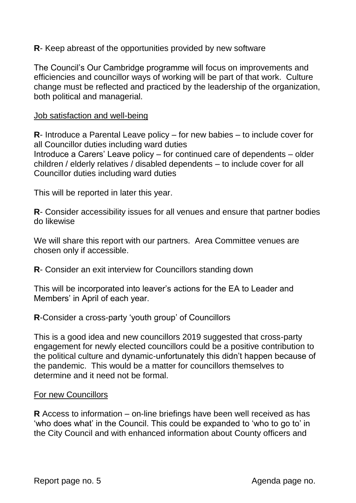**R**- Keep abreast of the opportunities provided by new software

The Council's Our Cambridge programme will focus on improvements and efficiencies and councillor ways of working will be part of that work. Culture change must be reflected and practiced by the leadership of the organization, both political and managerial.

#### Job satisfaction and well-being

**R**- Introduce a Parental Leave policy – for new babies – to include cover for all Councillor duties including ward duties Introduce a Carers' Leave policy – for continued care of dependents – older children / elderly relatives / disabled dependents – to include cover for all Councillor duties including ward duties

This will be reported in later this year.

**R**- Consider accessibility issues for all venues and ensure that partner bodies do likewise

We will share this report with our partners. Area Committee venues are chosen only if accessible.

**R**- Consider an exit interview for Councillors standing down

This will be incorporated into leaver's actions for the EA to Leader and Members' in April of each year.

**R**-Consider a cross-party 'youth group' of Councillors

This is a good idea and new councillors 2019 suggested that cross-party engagement for newly elected councillors could be a positive contribution to the political culture and dynamic-unfortunately this didn't happen because of the pandemic. This would be a matter for councillors themselves to determine and it need not be formal.

#### For new Councillors

**R** Access to information – on-line briefings have been well received as has 'who does what' in the Council. This could be expanded to 'who to go to' in the City Council and with enhanced information about County officers and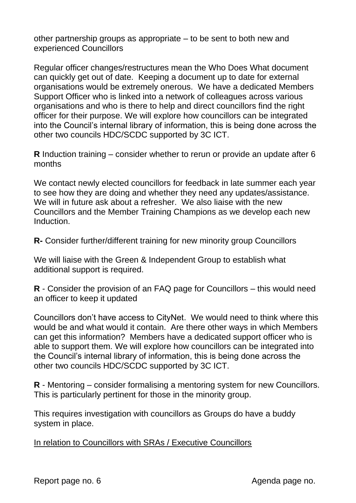other partnership groups as appropriate – to be sent to both new and experienced Councillors

Regular officer changes/restructures mean the Who Does What document can quickly get out of date. Keeping a document up to date for external organisations would be extremely onerous. We have a dedicated Members Support Officer who is linked into a network of colleagues across various organisations and who is there to help and direct councillors find the right officer for their purpose. We will explore how councillors can be integrated into the Council's internal library of information, this is being done across the other two councils HDC/SCDC supported by 3C ICT.

**R** Induction training – consider whether to rerun or provide an update after 6 months

We contact newly elected councillors for feedback in late summer each year to see how they are doing and whether they need any updates/assistance. We will in future ask about a refresher. We also liaise with the new Councillors and the Member Training Champions as we develop each new Induction.

**R-** Consider further/different training for new minority group Councillors

We will liaise with the Green & Independent Group to establish what additional support is required.

**R** - Consider the provision of an FAQ page for Councillors – this would need an officer to keep it updated

Councillors don't have access to CityNet. We would need to think where this would be and what would it contain. Are there other ways in which Members can get this information? Members have a dedicated support officer who is able to support them. We will explore how councillors can be integrated into the Council's internal library of information, this is being done across the other two councils HDC/SCDC supported by 3C ICT.

**R** - Mentoring – consider formalising a mentoring system for new Councillors. This is particularly pertinent for those in the minority group.

This requires investigation with councillors as Groups do have a buddy system in place.

In relation to Councillors with SRAs / Executive Councillors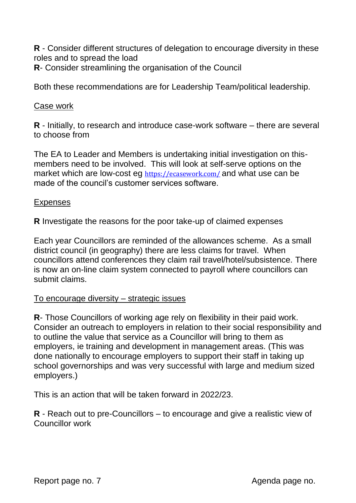**R** - Consider different structures of delegation to encourage diversity in these roles and to spread the load **R**- Consider streamlining the organisation of the Council

Both these recommendations are for Leadership Team/political leadership.

#### Case work

**R** - Initially, to research and introduce case-work software – there are several to choose from

The EA to Leader and Members is undertaking initial investigation on thismembers need to be involved. This will look at self-serve options on the market which are low-cost eg <https://ecasework.com/> and what use can be made of the council's customer services software.

#### **Expenses**

**R** Investigate the reasons for the poor take-up of claimed expenses

Each year Councillors are reminded of the allowances scheme. As a small district council (in geography) there are less claims for travel. When councillors attend conferences they claim rail travel/hotel/subsistence. There is now an on-line claim system connected to payroll where councillors can submit claims.

#### To encourage diversity – strategic issues

**R**- Those Councillors of working age rely on flexibility in their paid work. Consider an outreach to employers in relation to their social responsibility and to outline the value that service as a Councillor will bring to them as employers, ie training and development in management areas. (This was done nationally to encourage employers to support their staff in taking up school governorships and was very successful with large and medium sized employers.)

This is an action that will be taken forward in 2022/23.

**R** - Reach out to pre-Councillors – to encourage and give a realistic view of Councillor work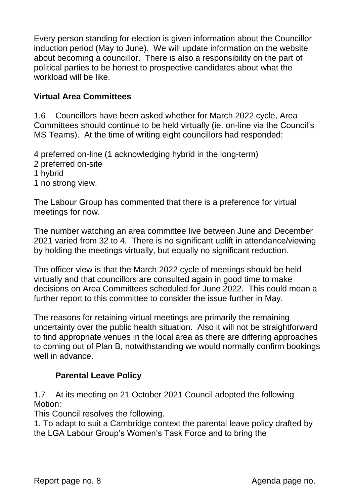Every person standing for election is given information about the Councillor induction period (May to June). We will update information on the website about becoming a councillor. There is also a responsibility on the part of political parties to be honest to prospective candidates about what the workload will be like.

## **Virtual Area Committees**

1.6 Councillors have been asked whether for March 2022 cycle, Area Committees should continue to be held virtually (ie. on-line via the Council's MS Teams). At the time of writing eight councillors had responded:

4 preferred on-line (1 acknowledging hybrid in the long-term)

- 2 preferred on-site
- 1 hybrid
- 1 no strong view.

The Labour Group has commented that there is a preference for virtual meetings for now.

The number watching an area committee live between June and December 2021 varied from 32 to 4. There is no significant uplift in attendance/viewing by holding the meetings virtually, but equally no significant reduction.

The officer view is that the March 2022 cycle of meetings should be held virtually and that councillors are consulted again in good time to make decisions on Area Committees scheduled for June 2022. This could mean a further report to this committee to consider the issue further in May.

The reasons for retaining virtual meetings are primarily the remaining uncertainty over the public health situation. Also it will not be straightforward to find appropriate venues in the local area as there are differing approaches to coming out of Plan B, notwithstanding we would normally confirm bookings well in advance.

## **Parental Leave Policy**

1.7 At its meeting on 21 October 2021 Council adopted the following Motion:

This Council resolves the following.

1. To adapt to suit a Cambridge context the parental leave policy drafted by the LGA Labour Group's Women's Task Force and to bring the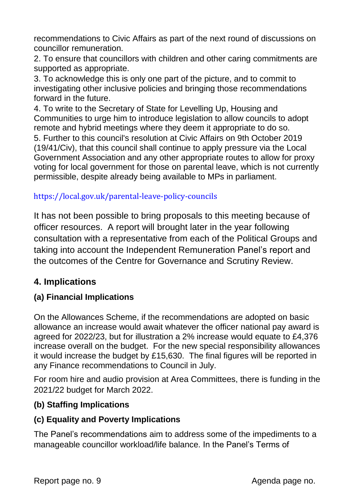recommendations to Civic Affairs as part of the next round of discussions on councillor remuneration.

2. To ensure that councillors with children and other caring commitments are supported as appropriate.

3. To acknowledge this is only one part of the picture, and to commit to investigating other inclusive policies and bringing those recommendations forward in the future.

4. To write to the Secretary of State for Levelling Up, Housing and Communities to urge him to introduce legislation to allow councils to adopt remote and hybrid meetings where they deem it appropriate to do so. 5. Further to this council's resolution at Civic Affairs on 9th October 2019 (19/41/Civ), that this council shall continue to apply pressure via the Local Government Association and any other appropriate routes to allow for proxy voting for local government for those on parental leave, which is not currently permissible, despite already being available to MPs in parliament.

# https://local.gov.uk/parental-leave-policy-councils

It has not been possible to bring proposals to this meeting because of officer resources. A report will brought later in the year following consultation with a representative from each of the Political Groups and taking into account the Independent Remuneration Panel's report and the outcomes of the Centre for Governance and Scrutiny Review.

# **4. Implications**

# **(a) Financial Implications**

On the Allowances Scheme, if the recommendations are adopted on basic allowance an increase would await whatever the officer national pay award is agreed for 2022/23, but for illustration a 2% increase would equate to £4,376 increase overall on the budget. For the new special responsibility allowances it would increase the budget by £15,630. The final figures will be reported in any Finance recommendations to Council in July.

For room hire and audio provision at Area Committees, there is funding in the 2021/22 budget for March 2022.

## **(b) Staffing Implications**

# **(c) Equality and Poverty Implications**

The Panel's recommendations aim to address some of the impediments to a manageable councillor workload/life balance. In the Panel's Terms of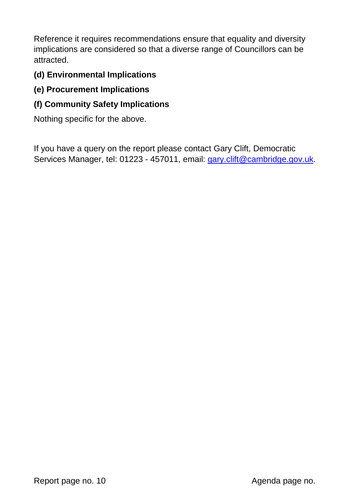Reference it requires recommendations ensure that equality and diversity implications are considered so that a diverse range of Councillors can be attracted.

## **(d) Environmental Implications**

## **(e) Procurement Implications**

### **(f) Community Safety Implications**

Nothing specific for the above.

If you have a query on the report please contact Gary Clift, Democratic Services Manager, tel: 01223 - 457011, email: [gary.clift@cambridge.gov.uk.](mailto:gary.clift@cambridge.gov.uk)